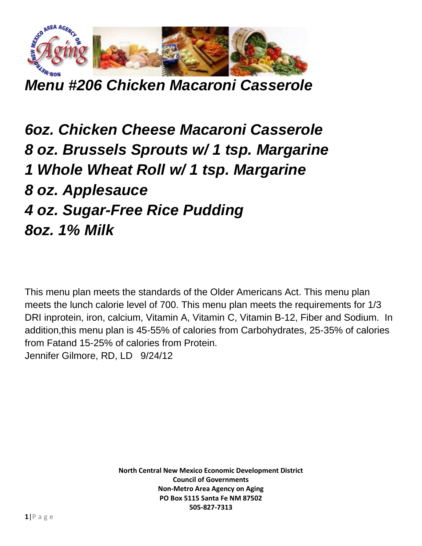

*Menu #206 Chicken Macaroni Casserole*

*6oz. Chicken Cheese Macaroni Casserole 8 oz. Brussels Sprouts w/ 1 tsp. Margarine 1 Whole Wheat Roll w/ 1 tsp. Margarine 8 oz. Applesauce 4 oz. Sugar-Free Rice Pudding 8oz. 1% Milk*

This menu plan meets the standards of the Older Americans Act. This menu plan meets the lunch calorie level of 700. This menu plan meets the requirements for 1/3 DRI inprotein, iron, calcium, Vitamin A, Vitamin C, Vitamin B-12, Fiber and Sodium. In addition,this menu plan is 45-55% of calories from Carbohydrates, 25-35% of calories from Fatand 15-25% of calories from Protein. Jennifer Gilmore, RD, LD 9/24/12

> **North Central New Mexico Economic Development District Council of Governments Non-Metro Area Agency on Aging PO Box 5115 Santa Fe NM 87502 505-827-7313**